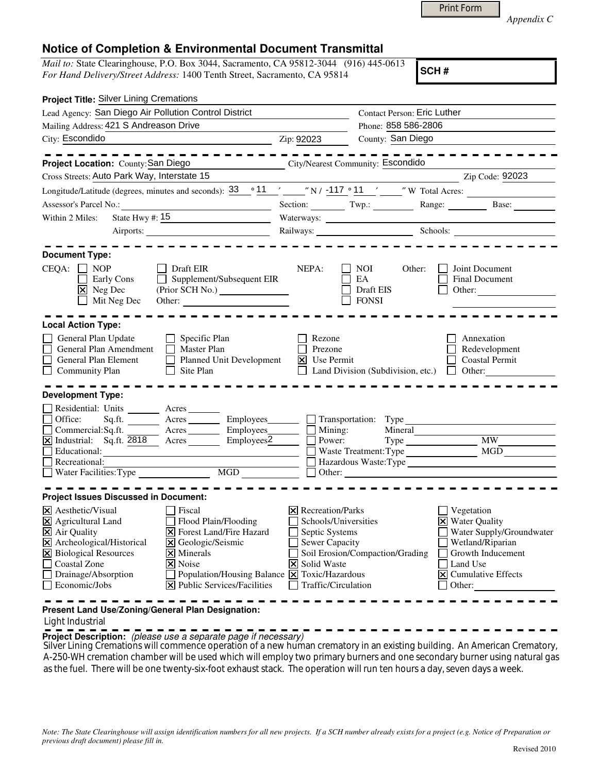|  | <b>Print Form</b> |  |
|--|-------------------|--|
|  |                   |  |

*Appendix C* 

## **Notice of Completion & Environmental Document Transmittal**

*Mail to:* State Clearinghouse, P.O. Box 3044, Sacramento, CA 95812-3044 (916) 445-0613 *For Hand Delivery/Street Address:* 1400 Tenth Street, Sacramento, CA 95814

**SCH #**

| Zip: 92023                   | County: San Diego<br><b>City/Nearest Community: Escondido</b><br>Section: Twp.: Twp.: Range: Base: Base:                                                                                | <b>Contact Person: Eric Luther</b><br>Phone: 858 586-2806                                                                                                                                                                                                       | Zip Code: 92023<br>Longitude/Latitude (degrees, minutes and seconds): $\frac{33}{11}$ $\frac{11}{11}$ $\frac{117}{11}$ $\frac{11}{11}$ $\frac{11}{11}$ $\frac{11}{11}$ $\frac{11}{11}$ $\frac{11}{11}$ $\frac{11}{11}$ $\frac{11}{11}$ $\frac{11}{11}$ $\frac{11}{11}$ $\frac{11}{11}$ $\frac{11}{11}$                                                                                                                                                      |
|------------------------------|-----------------------------------------------------------------------------------------------------------------------------------------------------------------------------------------|-----------------------------------------------------------------------------------------------------------------------------------------------------------------------------------------------------------------------------------------------------------------|-------------------------------------------------------------------------------------------------------------------------------------------------------------------------------------------------------------------------------------------------------------------------------------------------------------------------------------------------------------------------------------------------------------------------------------------------------------|
|                              |                                                                                                                                                                                         |                                                                                                                                                                                                                                                                 |                                                                                                                                                                                                                                                                                                                                                                                                                                                             |
|                              |                                                                                                                                                                                         |                                                                                                                                                                                                                                                                 |                                                                                                                                                                                                                                                                                                                                                                                                                                                             |
|                              |                                                                                                                                                                                         |                                                                                                                                                                                                                                                                 |                                                                                                                                                                                                                                                                                                                                                                                                                                                             |
|                              |                                                                                                                                                                                         |                                                                                                                                                                                                                                                                 |                                                                                                                                                                                                                                                                                                                                                                                                                                                             |
|                              |                                                                                                                                                                                         |                                                                                                                                                                                                                                                                 |                                                                                                                                                                                                                                                                                                                                                                                                                                                             |
|                              |                                                                                                                                                                                         |                                                                                                                                                                                                                                                                 |                                                                                                                                                                                                                                                                                                                                                                                                                                                             |
|                              |                                                                                                                                                                                         |                                                                                                                                                                                                                                                                 |                                                                                                                                                                                                                                                                                                                                                                                                                                                             |
|                              |                                                                                                                                                                                         |                                                                                                                                                                                                                                                                 |                                                                                                                                                                                                                                                                                                                                                                                                                                                             |
|                              |                                                                                                                                                                                         |                                                                                                                                                                                                                                                                 |                                                                                                                                                                                                                                                                                                                                                                                                                                                             |
|                              |                                                                                                                                                                                         |                                                                                                                                                                                                                                                                 |                                                                                                                                                                                                                                                                                                                                                                                                                                                             |
|                              |                                                                                                                                                                                         |                                                                                                                                                                                                                                                                 |                                                                                                                                                                                                                                                                                                                                                                                                                                                             |
|                              |                                                                                                                                                                                         |                                                                                                                                                                                                                                                                 |                                                                                                                                                                                                                                                                                                                                                                                                                                                             |
| NEPA:                        | <b>NOI</b><br>EA<br>Draft EIS<br><b>FONSI</b>                                                                                                                                           | Other:                                                                                                                                                                                                                                                          | Joint Document<br><b>Final Document</b><br>Other:                                                                                                                                                                                                                                                                                                                                                                                                           |
|                              |                                                                                                                                                                                         |                                                                                                                                                                                                                                                                 |                                                                                                                                                                                                                                                                                                                                                                                                                                                             |
| $\vert x \vert$              |                                                                                                                                                                                         |                                                                                                                                                                                                                                                                 | Annexation<br>Redevelopment<br><b>Coastal Permit</b><br>$\Box$ Other:                                                                                                                                                                                                                                                                                                                                                                                       |
|                              |                                                                                                                                                                                         |                                                                                                                                                                                                                                                                 |                                                                                                                                                                                                                                                                                                                                                                                                                                                             |
|                              |                                                                                                                                                                                         |                                                                                                                                                                                                                                                                 | <b>MW</b><br><b>MGD</b>                                                                                                                                                                                                                                                                                                                                                                                                                                     |
|                              |                                                                                                                                                                                         |                                                                                                                                                                                                                                                                 |                                                                                                                                                                                                                                                                                                                                                                                                                                                             |
|                              |                                                                                                                                                                                         |                                                                                                                                                                                                                                                                 | Vegetation<br><b>X</b> Water Quality<br>Water Supply/Groundwater<br>Wetland/Riparian<br>Growth Inducement<br>Land Use<br>$ \mathbf{\overline{X}} $ Cumulative Effects<br>Other:                                                                                                                                                                                                                                                                             |
| X Public Services/Facilities | Supplement/Subsequent EIR<br>Other:<br>Planned Unit Development<br>$\overline{\phantom{1}}$ Acres $\overline{\phantom{1}}$ Employees $\overline{\phantom{1}}$<br>Employees <sup>2</sup> | Rezone<br>Prezone<br>Use Permit<br>$\Box$ Mining:<br>Power:<br>$\times$ Recreation/Parks<br>Schools/Universities<br>Septic Systems<br>Sewer Capacity<br>X Solid Waste<br>Population/Housing Balance $\boxed{\mathbf{X}}$ Toxic/Hazardous<br>Traffic/Circulation | Railways: Schools: Chambridge Schools: Chambridge Schools: Chambridge Schools: Chambridge Schools: Chambridge Schools: Chambridge Schools: Chambridge Schools: Chambridge Schools: Chambridge Schools: Chambridge Schools: Cha<br>Land Division (Subdivision, etc.)<br>Sq.ft. ________ Acres _________ Employees _______ __ __ Transportation: Type ______________________<br>Mineral<br>Waste Treatment: Type<br>Other:<br>Soil Erosion/Compaction/Grading |

## Light Industrial

**Project Description:** (please use a separate page if necessary)

Silver Lining Cremations will commence operation of a new human crematory in an existing building. An American Crematory, A-250-WH cremation chamber will be used which will employ two primary burners and one secondary burner using natural gas as the fuel. There will be one twenty-six-foot exhaust stack. The operation will run ten hours a day, seven days a week.